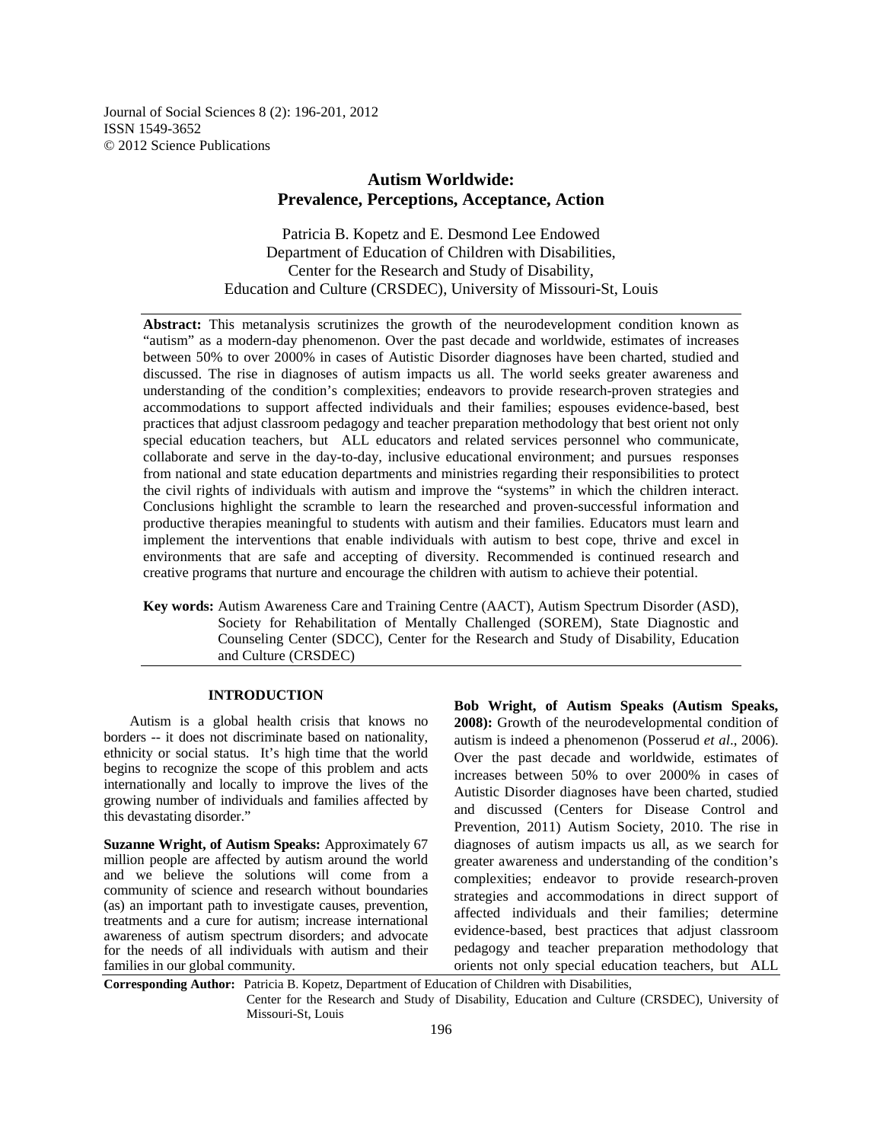Journal of Social Sciences 8 (2): 196-201, 2012 ISSN 1549-3652 © 2012 Science Publications

# **Autism Worldwide: Prevalence, Perceptions, Acceptance, Action**

Patricia B. Kopetz and E. Desmond Lee Endowed Department of Education of Children with Disabilities, Center for the Research and Study of Disability, Education and Culture (CRSDEC), University of Missouri-St, Louis

**Abstract:** This metanalysis scrutinizes the growth of the neurodevelopment condition known as "autism" as a modern-day phenomenon. Over the past decade and worldwide, estimates of increases between 50% to over 2000% in cases of Autistic Disorder diagnoses have been charted, studied and discussed. The rise in diagnoses of autism impacts us all. The world seeks greater awareness and understanding of the condition's complexities; endeavors to provide research-proven strategies and accommodations to support affected individuals and their families; espouses evidence-based, best practices that adjust classroom pedagogy and teacher preparation methodology that best orient not only special education teachers, but ALL educators and related services personnel who communicate, collaborate and serve in the day-to-day, inclusive educational environment; and pursues responses from national and state education departments and ministries regarding their responsibilities to protect the civil rights of individuals with autism and improve the "systems" in which the children interact. Conclusions highlight the scramble to learn the researched and proven-successful information and productive therapies meaningful to students with autism and their families. Educators must learn and implement the interventions that enable individuals with autism to best cope, thrive and excel in environments that are safe and accepting of diversity. Recommended is continued research and creative programs that nurture and encourage the children with autism to achieve their potential.

**Key words:** Autism Awareness Care and Training Centre (AACT), Autism Spectrum Disorder (ASD), Society for Rehabilitation of Mentally Challenged (SOREM), State Diagnostic and Counseling Center (SDCC), Center for the Research and Study of Disability, Education and Culture (CRSDEC)

## **INTRODUCTION**

 Autism is a global health crisis that knows no borders -- it does not discriminate based on nationality, ethnicity or social status. It's high time that the world begins to recognize the scope of this problem and acts internationally and locally to improve the lives of the growing number of individuals and families affected by this devastating disorder."

**Suzanne Wright, of Autism Speaks:** Approximately 67 million people are affected by autism around the world and we believe the solutions will come from a community of science and research without boundaries (as) an important path to investigate causes, prevention, treatments and a cure for autism; increase international awareness of autism spectrum disorders; and advocate for the needs of all individuals with autism and their families in our global community.

**Bob Wright, of Autism Speaks (Autism Speaks, 2008):** Growth of the neurodevelopmental condition of autism is indeed a phenomenon (Posserud *et al*., 2006). Over the past decade and worldwide, estimates of increases between 50% to over 2000% in cases of Autistic Disorder diagnoses have been charted, studied and discussed (Centers for Disease Control and Prevention, 2011) Autism Society, 2010. The rise in diagnoses of autism impacts us all, as we search for greater awareness and understanding of the condition's complexities; endeavor to provide research-proven strategies and accommodations in direct support of affected individuals and their families; determine evidence-based, best practices that adjust classroom pedagogy and teacher preparation methodology that orients not only special education teachers, but ALL

**Corresponding Author:** Patricia B. Kopetz, Department of Education of Children with Disabilities, Center for the Research and Study of Disability, Education and Culture (CRSDEC), University of Missouri-St, Louis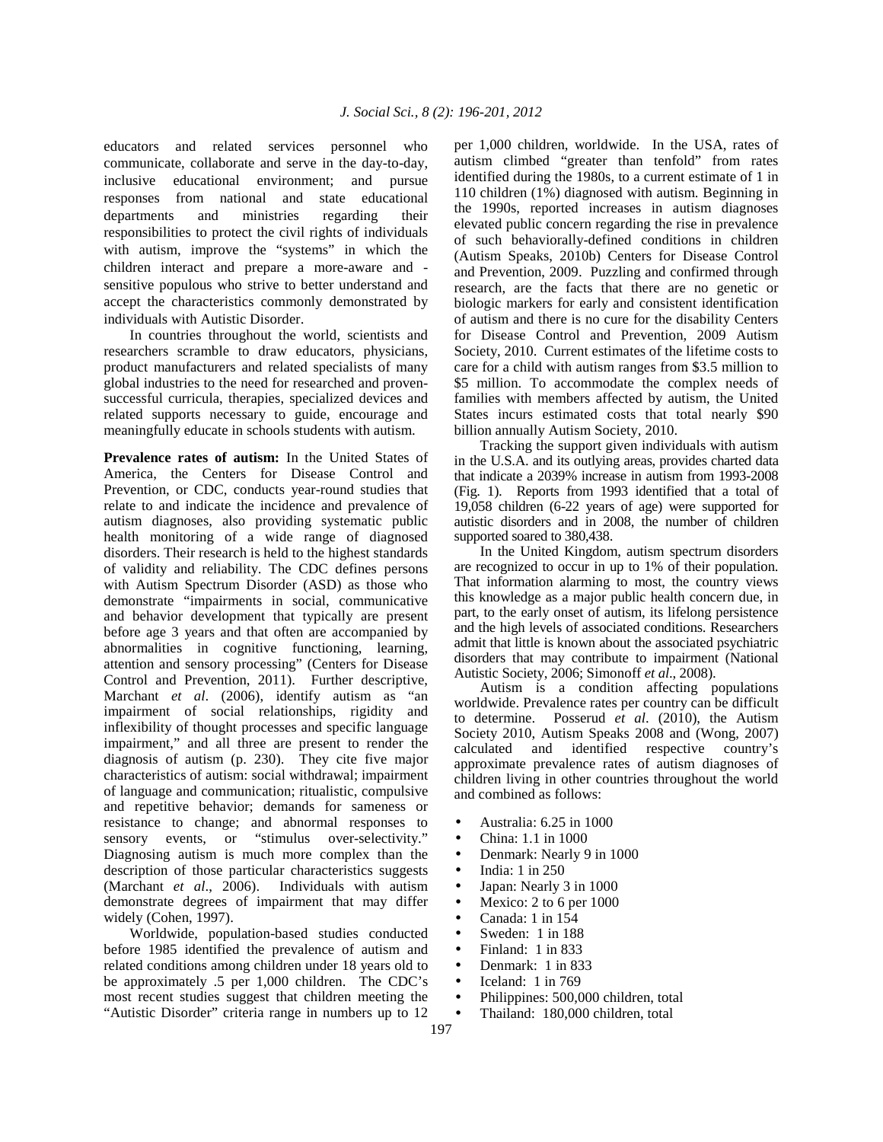educators and related services personnel who communicate, collaborate and serve in the day-to-day, inclusive educational environment; and pursue responses from national and state educational departments and ministries regarding their responsibilities to protect the civil rights of individuals with autism, improve the "systems" in which the children interact and prepare a more-aware and sensitive populous who strive to better understand and accept the characteristics commonly demonstrated by individuals with Autistic Disorder.

 In countries throughout the world, scientists and researchers scramble to draw educators, physicians, product manufacturers and related specialists of many global industries to the need for researched and provensuccessful curricula, therapies, specialized devices and related supports necessary to guide, encourage and meaningfully educate in schools students with autism.

**Prevalence rates of autism:** In the United States of America, the Centers for Disease Control and Prevention, or CDC, conducts year-round studies that relate to and indicate the incidence and prevalence of autism diagnoses, also providing systematic public health monitoring of a wide range of diagnosed disorders. Their research is held to the highest standards of validity and reliability. The CDC defines persons with Autism Spectrum Disorder (ASD) as those who demonstrate "impairments in social, communicative and behavior development that typically are present before age 3 years and that often are accompanied by abnormalities in cognitive functioning, learning, attention and sensory processing" (Centers for Disease Control and Prevention, 2011). Further descriptive, Marchant *et al*. (2006), identify autism as "an impairment of social relationships, rigidity and inflexibility of thought processes and specific language impairment," and all three are present to render the diagnosis of autism (p. 230). They cite five major characteristics of autism: social withdrawal; impairment of language and communication; ritualistic, compulsive and repetitive behavior; demands for sameness or resistance to change; and abnormal responses to sensory events, or "stimulus over-selectivity." Diagnosing autism is much more complex than the description of those particular characteristics suggests (Marchant *et al*., 2006). Individuals with autism demonstrate degrees of impairment that may differ widely (Cohen, 1997).

 Worldwide, population-based studies conducted before 1985 identified the prevalence of autism and related conditions among children under 18 years old to be approximately .5 per 1,000 children. The CDC's most recent studies suggest that children meeting the "Autistic Disorder" criteria range in numbers up to 12

per 1,000 children, worldwide. In the USA, rates of autism climbed "greater than tenfold" from rates identified during the 1980s, to a current estimate of 1 in 110 children (1%) diagnosed with autism. Beginning in the 1990s, reported increases in autism diagnoses elevated public concern regarding the rise in prevalence of such behaviorally-defined conditions in children (Autism Speaks, 2010b) Centers for Disease Control and Prevention, 2009. Puzzling and confirmed through research, are the facts that there are no genetic or biologic markers for early and consistent identification of autism and there is no cure for the disability Centers for Disease Control and Prevention, 2009 Autism Society, 2010. Current estimates of the lifetime costs to care for a child with autism ranges from \$3.5 million to \$5 million. To accommodate the complex needs of families with members affected by autism, the United States incurs estimated costs that total nearly \$90 billion annually Autism Society, 2010.

 Tracking the support given individuals with autism in the U.S.A. and its outlying areas, provides charted data that indicate a 2039% increase in autism from 1993-2008 (Fig. 1). Reports from 1993 identified that a total of 19,058 children (6-22 years of age) were supported for autistic disorders and in 2008, the number of children supported soared to 380,438.

 In the United Kingdom, autism spectrum disorders are recognized to occur in up to 1% of their population. That information alarming to most, the country views this knowledge as a major public health concern due, in part, to the early onset of autism, its lifelong persistence and the high levels of associated conditions. Researchers admit that little is known about the associated psychiatric disorders that may contribute to impairment (National Autistic Society, 2006; Simonoff *et al*., 2008).

 Autism is a condition affecting populations worldwide. Prevalence rates per country can be difficult to determine. Posserud *et al*. (2010), the Autism Society 2010, Autism Speaks 2008 and (Wong, 2007) calculated and identified respective country's approximate prevalence rates of autism diagnoses of children living in other countries throughout the world and combined as follows:

- Australia: 6.25 in 1000
- China: 1.1 in 1000
- Denmark: Nearly 9 in 1000
- India: 1 in 250
- Japan: Nearly 3 in 1000
- Mexico: 2 to 6 per 1000
- Canada: 1 in 154
- Sweden: 1 in 188
- Finland: 1 in 833
- Denmark: 1 in 833
- Iceland: 1 in 769
- Philippines: 500,000 children, total
- Thailand: 180,000 children, total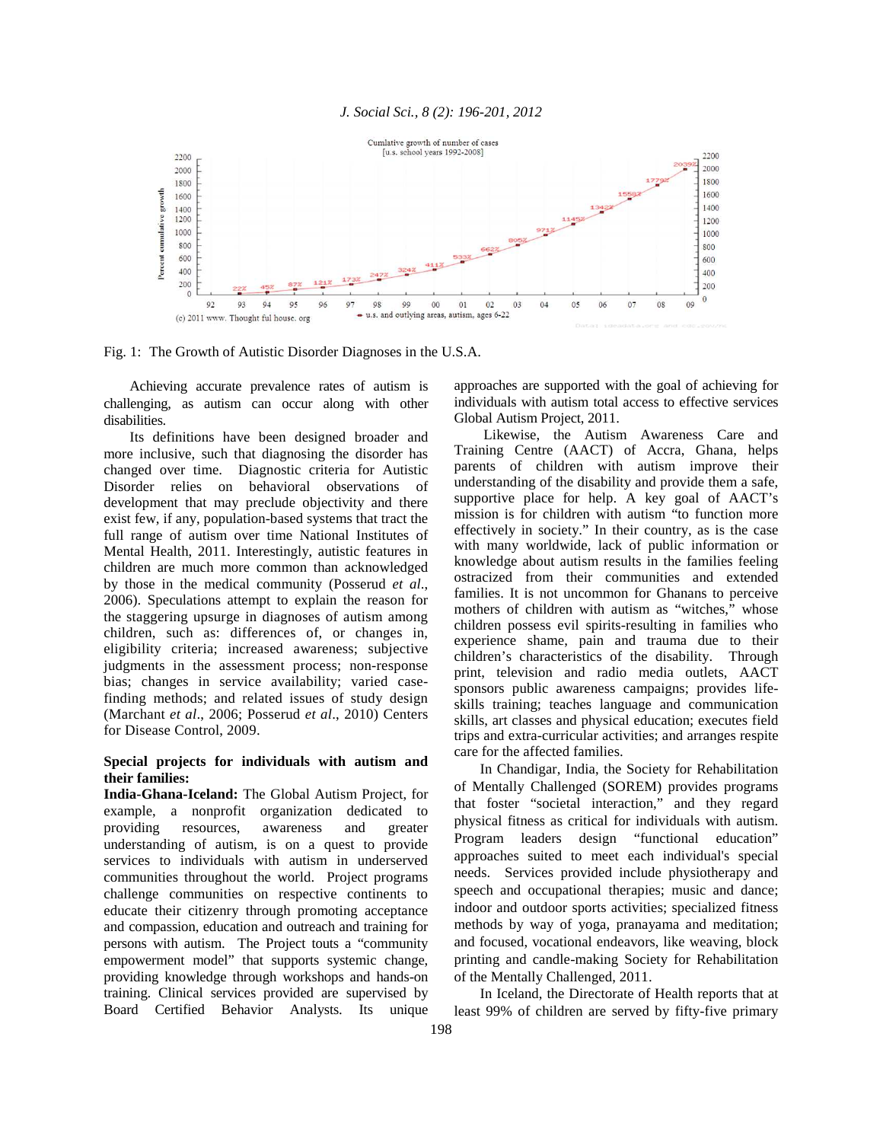

Fig. 1: The Growth of Autistic Disorder Diagnoses in the U.S.A.

 Achieving accurate prevalence rates of autism is challenging, as autism can occur along with other disabilities.

 Its definitions have been designed broader and more inclusive, such that diagnosing the disorder has changed over time. Diagnostic criteria for Autistic Disorder relies on behavioral observations of development that may preclude objectivity and there exist few, if any, population-based systems that tract the full range of autism over time National Institutes of Mental Health, 2011. Interestingly, autistic features in children are much more common than acknowledged by those in the medical community (Posserud *et al*., 2006). Speculations attempt to explain the reason for the staggering upsurge in diagnoses of autism among children, such as: differences of, or changes in, eligibility criteria; increased awareness; subjective judgments in the assessment process; non-response bias; changes in service availability; varied casefinding methods; and related issues of study design (Marchant *et al*., 2006; Posserud *et al*., 2010) Centers for Disease Control, 2009.

#### **Special projects for individuals with autism and their families:**

**India-Ghana-Iceland:** The Global Autism Project, for example, a nonprofit organization dedicated to providing resources, awareness and greater understanding of autism, is on a quest to provide services to individuals with autism in underserved communities throughout the world. Project programs challenge communities on respective continents to educate their citizenry through promoting acceptance and compassion, education and outreach and training for persons with autism. The Project touts a "community empowerment model" that supports systemic change, providing knowledge through workshops and hands-on training. Clinical services provided are supervised by Board Certified Behavior Analysts. Its unique

approaches are supported with the goal of achieving for individuals with autism total access to effective services Global Autism Project, 2011.

 Likewise, the Autism Awareness Care and Training Centre (AACT) of Accra, Ghana, helps parents of children with autism improve their understanding of the disability and provide them a safe, supportive place for help. A key goal of AACT's mission is for children with autism "to function more effectively in society." In their country, as is the case with many worldwide, lack of public information or knowledge about autism results in the families feeling ostracized from their communities and extended families. It is not uncommon for Ghanans to perceive mothers of children with autism as "witches," whose children possess evil spirits-resulting in families who experience shame, pain and trauma due to their children's characteristics of the disability. Through print, television and radio media outlets, AACT sponsors public awareness campaigns; provides lifeskills training; teaches language and communication skills, art classes and physical education; executes field trips and extra-curricular activities; and arranges respite care for the affected families.

 In Chandigar, India, the Society for Rehabilitation of Mentally Challenged (SOREM) provides programs that foster "societal interaction," and they regard physical fitness as critical for individuals with autism. Program leaders design "functional education" approaches suited to meet each individual's special needs. Services provided include physiotherapy and speech and occupational therapies; music and dance; indoor and outdoor sports activities; specialized fitness methods by way of yoga, pranayama and meditation; and focused, vocational endeavors, like weaving, block printing and candle-making Society for Rehabilitation of the Mentally Challenged, 2011.

 In Iceland, the Directorate of Health reports that at least 99% of children are served by fifty-five primary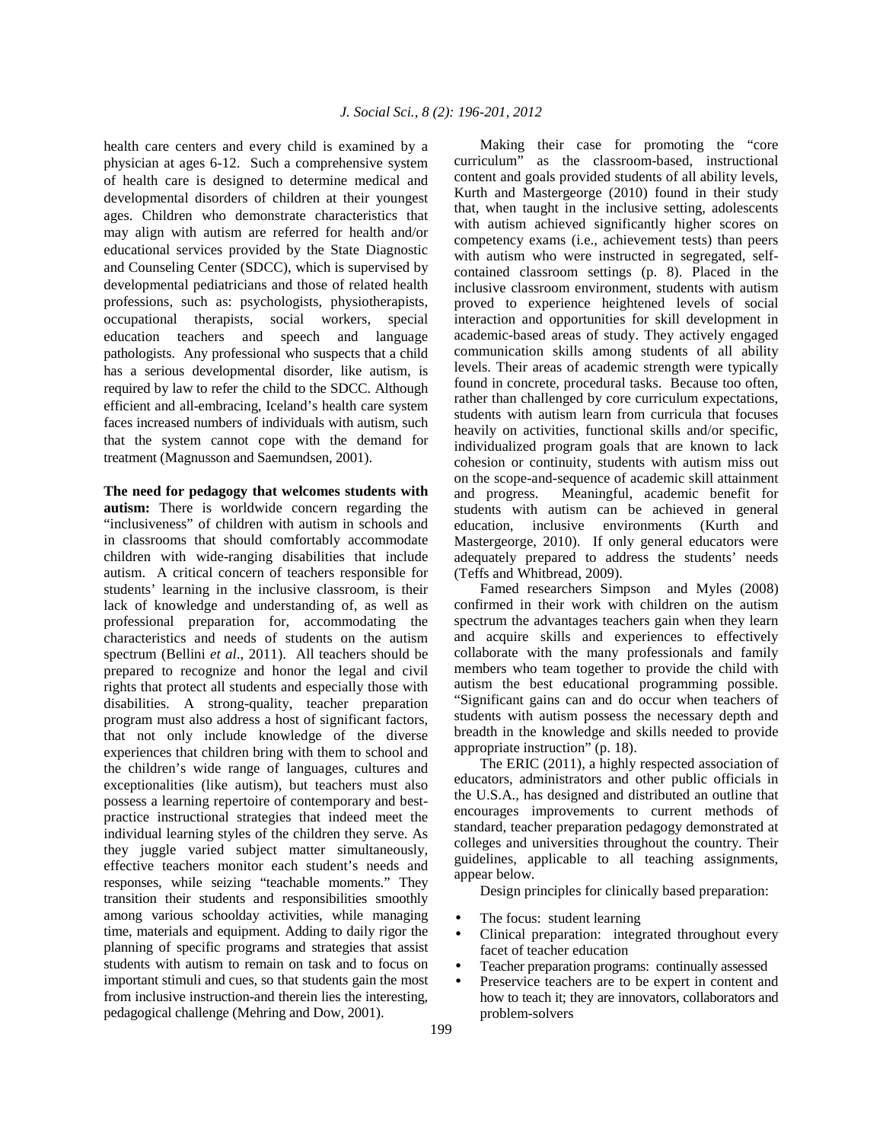health care centers and every child is examined by a physician at ages 6-12. Such a comprehensive system of health care is designed to determine medical and developmental disorders of children at their youngest ages. Children who demonstrate characteristics that may align with autism are referred for health and/or educational services provided by the State Diagnostic and Counseling Center (SDCC), which is supervised by developmental pediatricians and those of related health professions, such as: psychologists, physiotherapists, occupational therapists, social workers, special education teachers and speech and language pathologists. Any professional who suspects that a child has a serious developmental disorder, like autism, is required by law to refer the child to the SDCC. Although efficient and all-embracing, Iceland's health care system faces increased numbers of individuals with autism, such that the system cannot cope with the demand for treatment (Magnusson and Saemundsen, 2001).

**The need for pedagogy that welcomes students with autism:** There is worldwide concern regarding the "inclusiveness" of children with autism in schools and in classrooms that should comfortably accommodate children with wide-ranging disabilities that include autism. A critical concern of teachers responsible for students' learning in the inclusive classroom, is their lack of knowledge and understanding of, as well as professional preparation for, accommodating the characteristics and needs of students on the autism spectrum (Bellini *et al*., 2011). All teachers should be prepared to recognize and honor the legal and civil rights that protect all students and especially those with disabilities. A strong-quality, teacher preparation program must also address a host of significant factors, that not only include knowledge of the diverse experiences that children bring with them to school and the children's wide range of languages, cultures and exceptionalities (like autism), but teachers must also possess a learning repertoire of contemporary and bestpractice instructional strategies that indeed meet the individual learning styles of the children they serve. As they juggle varied subject matter simultaneously, effective teachers monitor each student's needs and responses, while seizing "teachable moments." They transition their students and responsibilities smoothly among various schoolday activities, while managing time, materials and equipment. Adding to daily rigor the planning of specific programs and strategies that assist students with autism to remain on task and to focus on important stimuli and cues, so that students gain the most from inclusive instruction-and therein lies the interesting, pedagogical challenge (Mehring and Dow, 2001).

 Making their case for promoting the "core curriculum" as the classroom-based, instructional content and goals provided students of all ability levels, Kurth and Mastergeorge (2010) found in their study that, when taught in the inclusive setting, adolescents with autism achieved significantly higher scores on competency exams (i.e., achievement tests) than peers with autism who were instructed in segregated, selfcontained classroom settings (p. 8). Placed in the inclusive classroom environment, students with autism proved to experience heightened levels of social interaction and opportunities for skill development in academic-based areas of study. They actively engaged communication skills among students of all ability levels. Their areas of academic strength were typically found in concrete, procedural tasks. Because too often, rather than challenged by core curriculum expectations, students with autism learn from curricula that focuses heavily on activities, functional skills and/or specific, individualized program goals that are known to lack cohesion or continuity, students with autism miss out on the scope-and-sequence of academic skill attainment and progress. Meaningful, academic benefit for students with autism can be achieved in general education, inclusive environments (Kurth and Mastergeorge, 2010). If only general educators were adequately prepared to address the students' needs (Teffs and Whitbread, 2009).

 Famed researchers Simpson and Myles (2008) confirmed in their work with children on the autism spectrum the advantages teachers gain when they learn and acquire skills and experiences to effectively collaborate with the many professionals and family members who team together to provide the child with autism the best educational programming possible. "Significant gains can and do occur when teachers of students with autism possess the necessary depth and breadth in the knowledge and skills needed to provide appropriate instruction" (p. 18).

 The ERIC (2011), a highly respected association of educators, administrators and other public officials in the U.S.A., has designed and distributed an outline that encourages improvements to current methods of standard, teacher preparation pedagogy demonstrated at colleges and universities throughout the country. Their guidelines, applicable to all teaching assignments, appear below.

Design principles for clinically based preparation:

- The focus: student learning
- Clinical preparation: integrated throughout every facet of teacher education
- Teacher preparation programs: continually assessed
- Preservice teachers are to be expert in content and how to teach it; they are innovators, collaborators and problem-solvers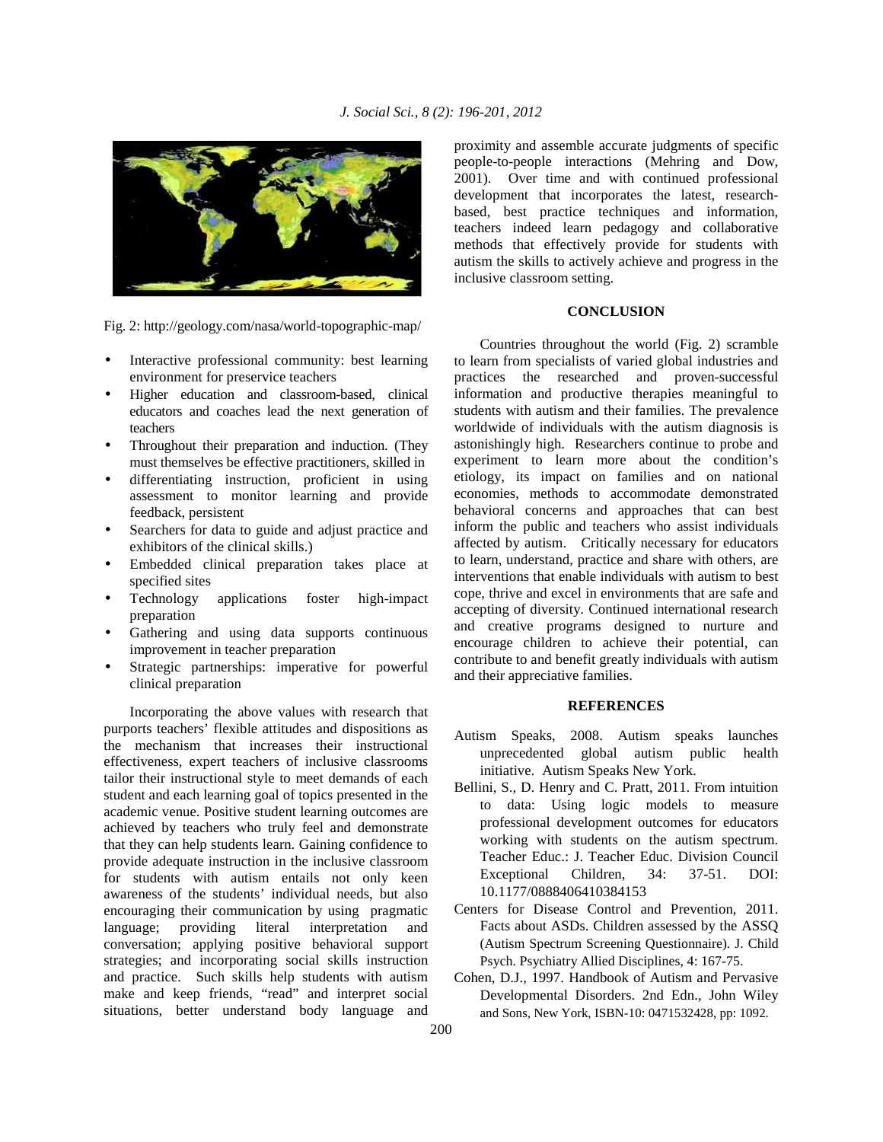

Fig. 2: http://geology.com/nasa/world-topographic-map/

- Interactive professional community: best learning environment for preservice teachers
- Higher education and classroom-based, clinical educators and coaches lead the next generation of teachers
- Throughout their preparation and induction. (They must themselves be effective practitioners, skilled in
- differentiating instruction, proficient in using assessment to monitor learning and provide feedback, persistent
- Searchers for data to guide and adjust practice and exhibitors of the clinical skills.)
- Embedded clinical preparation takes place at specified sites
- Technology applications foster high-impact preparation
- Gathering and using data supports continuous improvement in teacher preparation
- Strategic partnerships: imperative for powerful clinical preparation

 Incorporating the above values with research that purports teachers' flexible attitudes and dispositions as the mechanism that increases their instructional effectiveness, expert teachers of inclusive classrooms tailor their instructional style to meet demands of each student and each learning goal of topics presented in the academic venue. Positive student learning outcomes are achieved by teachers who truly feel and demonstrate that they can help students learn. Gaining confidence to provide adequate instruction in the inclusive classroom for students with autism entails not only keen awareness of the students' individual needs, but also encouraging their communication by using pragmatic language; providing literal interpretation and conversation; applying positive behavioral support strategies; and incorporating social skills instruction and practice. Such skills help students with autism make and keep friends, "read" and interpret social situations, better understand body language and

proximity and assemble accurate judgments of specific people-to-people interactions (Mehring and Dow, 2001). Over time and with continued professional development that incorporates the latest, researchbased, best practice techniques and information, teachers indeed learn pedagogy and collaborative methods that effectively provide for students with autism the skills to actively achieve and progress in the inclusive classroom setting.

## **CONCLUSION**

Countries throughout the world (Fig. 2) scramble to learn from specialists of varied global industries and practices the researched and proven-successful information and productive therapies meaningful to students with autism and their families. The prevalence worldwide of individuals with the autism diagnosis is astonishingly high. Researchers continue to probe and experiment to learn more about the condition's etiology, its impact on families and on national economies, methods to accommodate demonstrated behavioral concerns and approaches that can best inform the public and teachers who assist individuals affected by autism. Critically necessary for educators to learn, understand, practice and share with others, are interventions that enable individuals with autism to best cope, thrive and excel in environments that are safe and accepting of diversity. Continued international research and creative programs designed to nurture and encourage children to achieve their potential, can contribute to and benefit greatly individuals with autism and their appreciative families.

## **REFERENCES**

- Autism Speaks, 2008. Autism speaks launches unprecedented global autism public health initiative. Autism Speaks New York.
- Bellini, S., D. Henry and C. Pratt, 2011. From intuition to data: Using logic models to measure professional development outcomes for educators working with students on the autism spectrum. Teacher Educ.: J. Teacher Educ. Division Council Exceptional Children, 34: 37-51. DOI: 10.1177/0888406410384153
- Centers for Disease Control and Prevention, 2011. Facts about ASDs. Children assessed by the ASSQ (Autism Spectrum Screening Questionnaire). J. Child Psych. Psychiatry Allied Disciplines, 4: 167-75.
- Cohen, D.J., 1997. Handbook of Autism and Pervasive Developmental Disorders. 2nd Edn., John Wiley and Sons, New York, ISBN-10: 0471532428, pp: 1092.